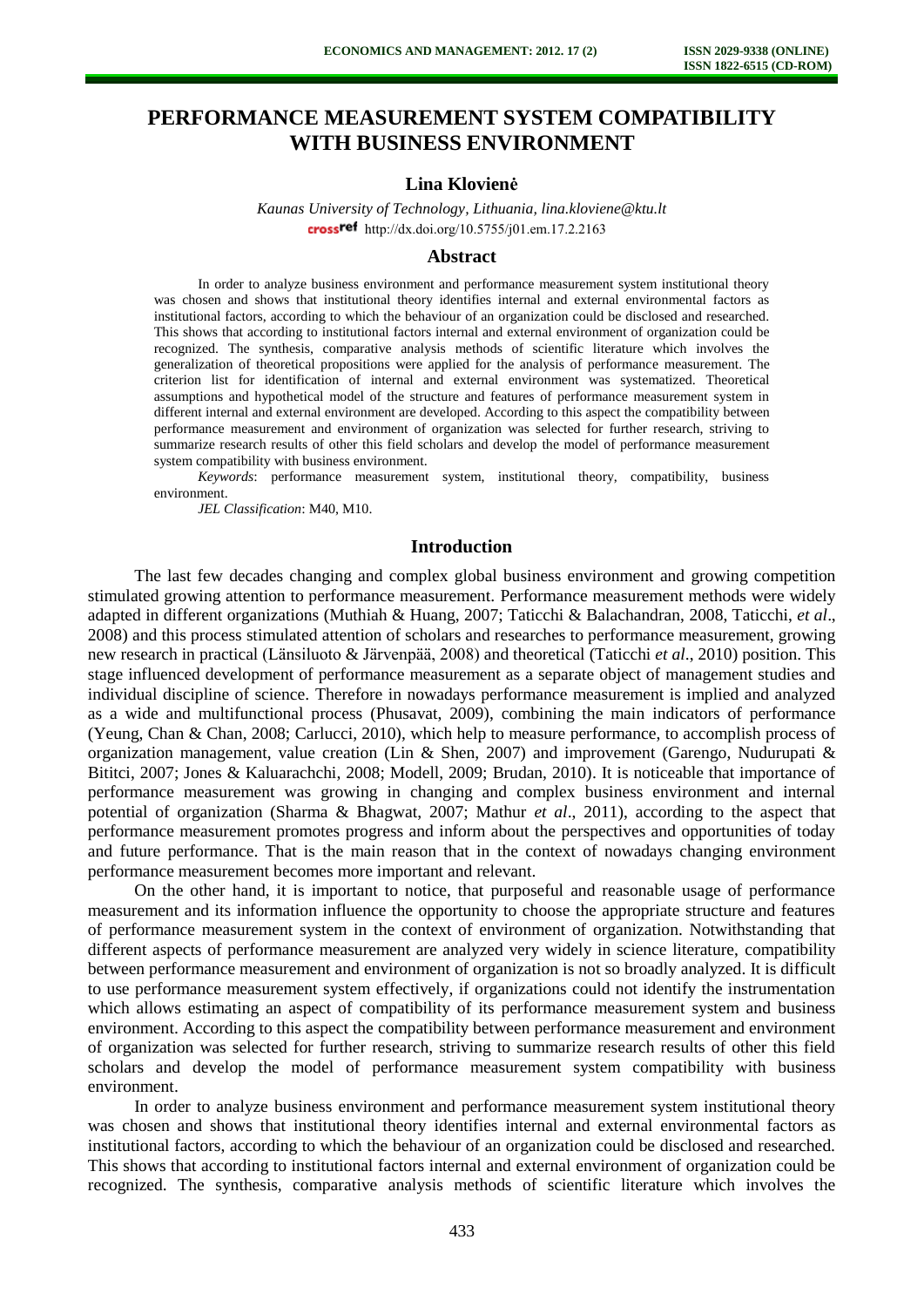# **PERFORMANCE MEASUREMENT SYSTEM COMPATIBILITY WITH BUSINESS ENVIRONMENT**

## **Lina Klovienė**

*Kaunas University of Technology, Lithuania, lina.kloviene@ktu.lt* crossref [http://dx.doi.org/10.5755/j01.e](http://dx.doi.org/10.5755/j01.em.17.2.2163)m.17.2.2163

#### **Abstract**

In order to analyze business environment and performance measurement system institutional theory was chosen and shows that institutional theory identifies internal and external environmental factors as institutional factors, according to which the behaviour of an organization could be disclosed and researched. This shows that according to institutional factors internal and external environment of organization could be recognized. The synthesis, comparative analysis methods of scientific literature which involves the generalization of theoretical propositions were applied for the analysis of performance measurement. The criterion list for identification of internal and external environment was systematized. Theoretical assumptions and hypothetical model of the structure and features of performance measurement system in different internal and external environment are developed. According to this aspect the compatibility between performance measurement and environment of organization was selected for further research, striving to summarize research results of other this field scholars and develop the model of performance measurement system compatibility with business environment.

*Keywords*: performance measurement system, institutional theory, compatibility, business environment.

*JEL Classification*: M40, M10.

### **Introduction**

The last few decades changing and complex global business environment and growing competition stimulated growing attention to performance measurement. Performance measurement methods were widely adapted in different organizations (Muthiah & Huang, 2007; Taticchi & Balachandran, 2008, Taticchi, *et al*., 2008) and this process stimulated attention of scholars and researches to performance measurement, growing new research in practical (Länsiluoto & Järvenpää, 2008) and theoretical (Taticchi *et al*., 2010) position. This stage influenced development of performance measurement as a separate object of management studies and individual discipline of science. Therefore in nowadays performance measurement is implied and analyzed as a wide and multifunctional process (Phusavat, 2009), combining the main indicators of performance (Yeung, Chan & Chan, 2008; Carlucci, 2010), which help to measure performance, to accomplish process of organization management, value creation (Lin & Shen, 2007) and improvement (Garengo, Nudurupati & Bititci, 2007; Jones & Kaluarachchi, 2008; Modell, 2009; Brudan, 2010). It is noticeable that importance of performance measurement was growing in changing and complex business environment and internal potential of organization (Sharma & Bhagwat, 2007; Mathur *et al*., 2011), according to the aspect that performance measurement promotes progress and inform about the perspectives and opportunities of today and future performance. That is the main reason that in the context of nowadays changing environment performance measurement becomes more important and relevant.

On the other hand, it is important to notice, that purposeful and reasonable usage of performance measurement and its information influence the opportunity to choose the appropriate structure and features of performance measurement system in the context of environment of organization. Notwithstanding that different aspects of performance measurement are analyzed very widely in science literature, compatibility between performance measurement and environment of organization is not so broadly analyzed. It is difficult to use performance measurement system effectively, if organizations could not identify the instrumentation which allows estimating an aspect of compatibility of its performance measurement system and business environment. According to this aspect the compatibility between performance measurement and environment of organization was selected for further research, striving to summarize research results of other this field scholars and develop the model of performance measurement system compatibility with business environment.

In order to analyze business environment and performance measurement system institutional theory was chosen and shows that institutional theory identifies internal and external environmental factors as institutional factors, according to which the behaviour of an organization could be disclosed and researched. This shows that according to institutional factors internal and external environment of organization could be recognized. The synthesis, comparative analysis methods of scientific literature which involves the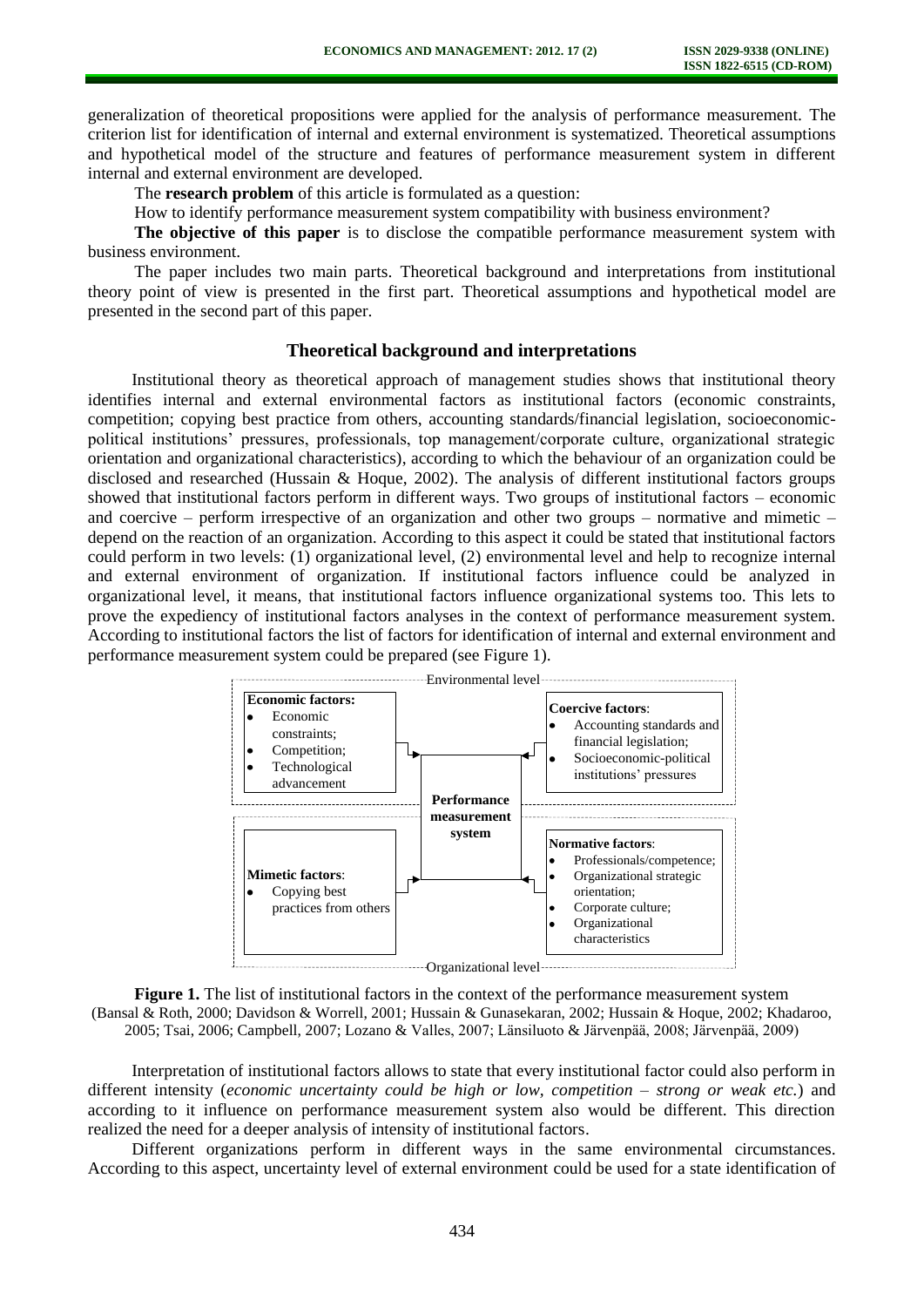generalization of theoretical propositions were applied for the analysis of performance measurement. The criterion list for identification of internal and external environment is systematized. Theoretical assumptions and hypothetical model of the structure and features of performance measurement system in different internal and external environment are developed.

The **research problem** of this article is formulated as a question:

How to identify performance measurement system compatibility with business environment?

**The objective of this paper** is to disclose the compatible performance measurement system with business environment.

The paper includes two main parts. Theoretical background and interpretations from institutional theory point of view is presented in the first part. Theoretical assumptions and hypothetical model are presented in the second part of this paper.

# **Theoretical background and interpretations**

Institutional theory as theoretical approach of management studies shows that institutional theory identifies internal and external environmental factors as institutional factors (economic constraints, competition; copying best practice from others, accounting standards/financial legislation, socioeconomicpolitical institutions' pressures, professionals, top management/corporate culture, organizational strategic orientation and organizational characteristics), according to which the behaviour of an organization could be disclosed and researched (Hussain & Hoque, 2002). The analysis of different institutional factors groups showed that institutional factors perform in different ways. Two groups of institutional factors – economic and coercive – perform irrespective of an organization and other two groups – normative and mimetic – depend on the reaction of an organization. According to this aspect it could be stated that institutional factors could perform in two levels: (1) organizational level, (2) environmental level and help to recognize internal and external environment of organization. If institutional factors influence could be analyzed in organizational level, it means, that institutional factors influence organizational systems too. This lets to prove the expediency of institutional factors analyses in the context of performance measurement system. According to institutional factors the list of factors for identification of internal and external environment and performance measurement system could be prepared (see Figure 1).



**Figure 1.** The list of institutional factors in the context of the performance measurement system (Bansal & Roth, 2000; Davidson & Worrell, 2001; Hussain & Gunasekaran, 2002; Hussain & Hoque, 2002; Khadaroo, 2005; Tsai, 2006; Campbell, 2007; Lozano & Valles, 2007; Länsiluoto & Järvenpää, 2008; Järvenpää, 2009)

Interpretation of institutional factors allows to state that every institutional factor could also perform in different intensity (*economic uncertainty could be high or low, competition – strong or weak etc.*) and according to it influence on performance measurement system also would be different. This direction realized the need for a deeper analysis of intensity of institutional factors.

Different organizations perform in different ways in the same environmental circumstances. According to this aspect, uncertainty level of external environment could be used for a state identification of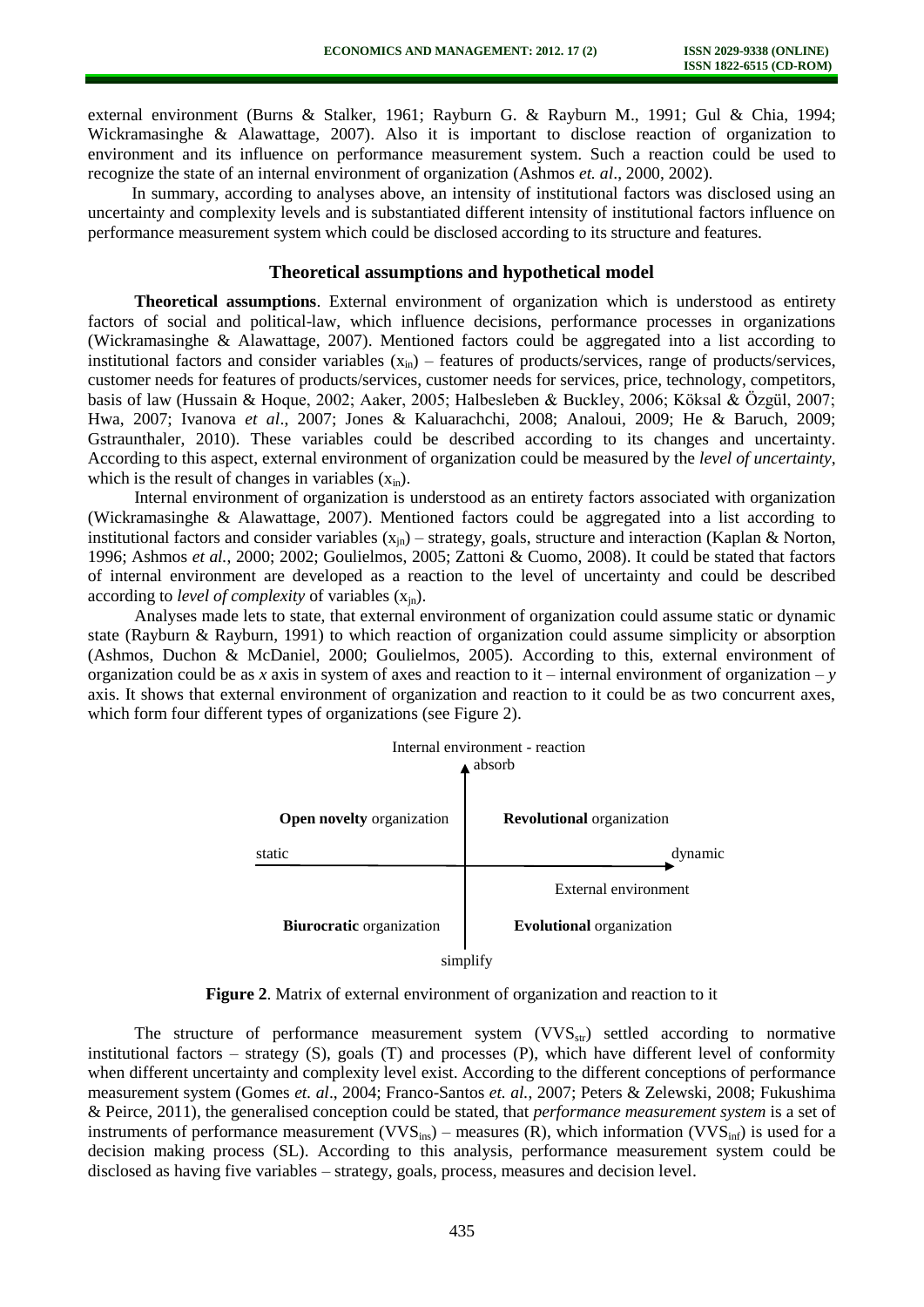external environment (Burns & Stalker, 1961; Rayburn G. & Rayburn M., 1991; Gul & Chia, 1994; Wickramasinghe & Alawattage, 2007). Also it is important to disclose reaction of organization to environment and its influence on performance measurement system. Such a reaction could be used to recognize the state of an internal environment of organization (Ashmos *et. al*., 2000, 2002).

In summary, according to analyses above, an intensity of institutional factors was disclosed using an uncertainty and complexity levels and is substantiated different intensity of institutional factors influence on performance measurement system which could be disclosed according to its structure and features.

### **Theoretical assumptions and hypothetical model**

**Theoretical assumptions**. External environment of organization which is understood as entirety factors of social and political-law, which influence decisions, performance processes in organizations (Wickramasinghe & Alawattage, 2007). Mentioned factors could be aggregated into a list according to institutional factors and consider variables  $(x_{in})$  – features of products/services, range of products/services, customer needs for features of products/services, customer needs for services, price, technology, competitors, basis of law (Hussain & Hoque, 2002; Aaker, 2005; Halbesleben & Buckley, 2006; Köksal & Özgül, 2007; Hwa, 2007; Ivanova *et al*., 2007; Jones & Kaluarachchi, 2008; Analoui, 2009; He & Baruch, 2009; Gstraunthaler, 2010). These variables could be described according to its changes and uncertainty. According to this aspect, external environment of organization could be measured by the *level of uncertainty*, which is the result of changes in variables  $(x_{in})$ .

Internal environment of organization is understood as an entirety factors associated with organization (Wickramasinghe & Alawattage, 2007). Mentioned factors could be aggregated into a list according to institutional factors and consider variables  $(x_{in})$  – strategy, goals, structure and interaction (Kaplan & Norton, 1996; Ashmos *et al.*, 2000; 2002; Goulielmos, 2005; Zattoni & Cuomo, 2008). It could be stated that factors of internal environment are developed as a reaction to the level of uncertainty and could be described according to *level of complexity* of variables  $(x_{in})$ .

Analyses made lets to state, that external environment of organization could assume static or dynamic state (Rayburn & Rayburn, 1991) to which reaction of organization could assume simplicity or absorption (Ashmos, Duchon & McDaniel, 2000; Goulielmos, 2005). According to this, external environment of organization could be as *x* axis in system of axes and reaction to it – internal environment of organization – *y* axis. It shows that external environment of organization and reaction to it could be as two concurrent axes, which form four different types of organizations (see Figure 2).



**Figure 2**. Matrix of external environment of organization and reaction to it

The structure of performance measurement system  $(VVS<sub>str</sub>)$  settled according to normative institutional factors – strategy  $(S)$ , goals  $(T)$  and processes  $(P)$ , which have different level of conformity when different uncertainty and complexity level exist. According to the different conceptions of performance measurement system (Gomes *et. al*., 2004; Franco-Santos *et. al.*, 2007; Peters & Zelewski, 2008; Fukushima & Peirce, 2011), the generalised conception could be stated, that *performance measurement system* is a set of instruments of performance measurement ( $VVS_{ins}$ ) – measures (R), which information ( $VVS_{inf}$ ) is used for a decision making process (SL). According to this analysis, performance measurement system could be disclosed as having five variables – strategy, goals, process, measures and decision level.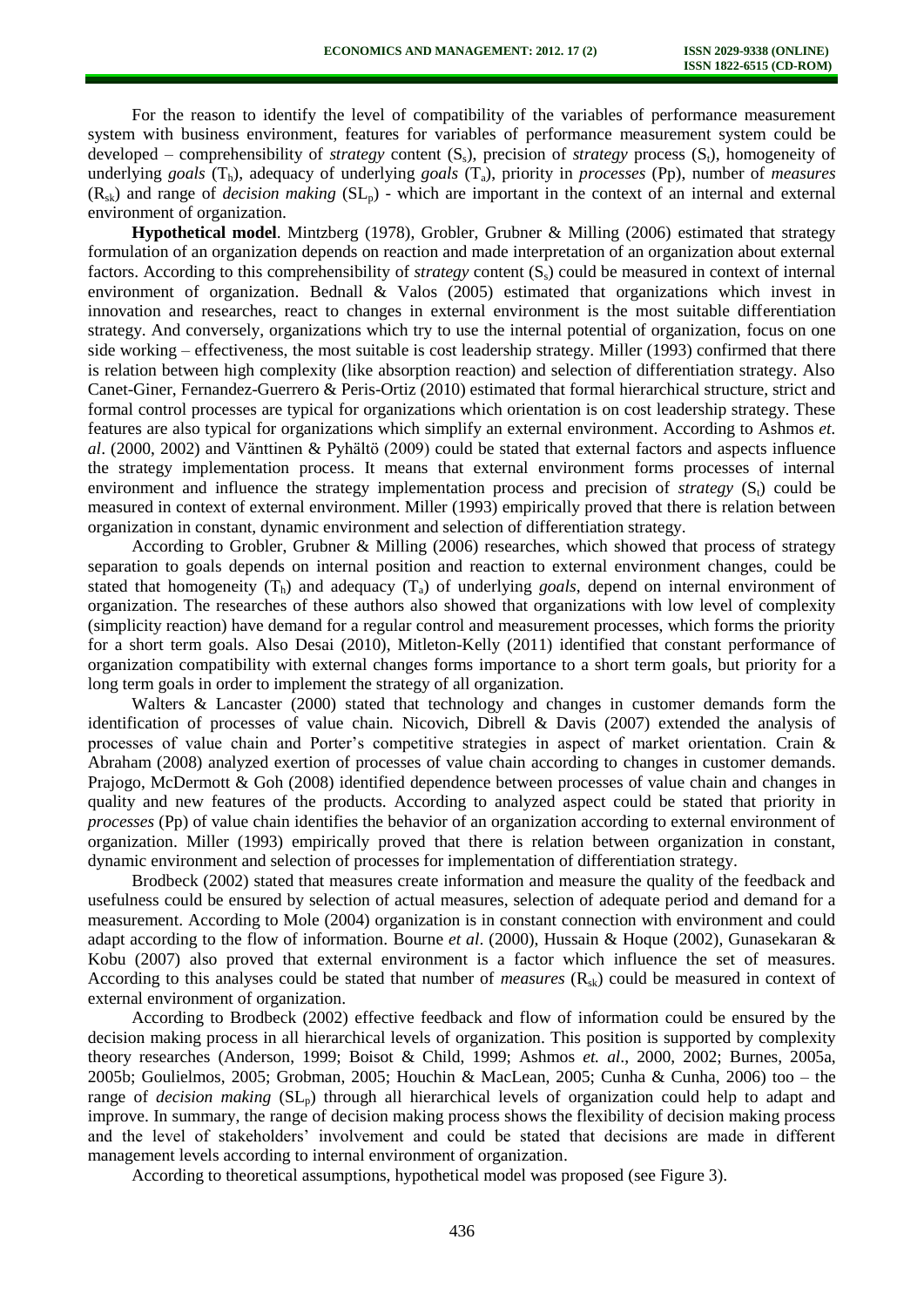For the reason to identify the level of compatibility of the variables of performance measurement system with business environment, features for variables of performance measurement system could be developed – comprehensibility of *strategy* content  $(S_s)$ , precision of *strategy* process  $(S_t)$ , homogeneity of underlying *goals* (Th), adequacy of underlying *goals* (Ta), priority in *processes* (Pp), number of *measures*  $(R_{sk})$  and range of *decision making*  $(SL_p)$  - which are important in the context of an internal and external environment of organization.

**Hypothetical model**. Mintzberg (1978), Grobler, Grubner & Milling (2006) estimated that strategy formulation of an organization depends on reaction and made interpretation of an organization about external factors. According to this comprehensibility of *strategy* content (Ss) could be measured in context of internal environment of organization. Bednall & Valos (2005) estimated that organizations which invest in innovation and researches, react to changes in external environment is the most suitable differentiation strategy. And conversely, organizations which try to use the internal potential of organization, focus on one side working – effectiveness, the most suitable is cost leadership strategy. Miller (1993) confirmed that there is relation between high complexity (like absorption reaction) and selection of differentiation strategy. Also Canet-Giner, Fernandez-Guerrero & Peris-Ortiz (2010) estimated that formal hierarchical structure, strict and formal control processes are typical for organizations which orientation is on cost leadership strategy. These features are also typical for organizations which simplify an external environment. According to Ashmos *et. al*. (2000, 2002) and Vänttinen & Pyhältö (2009) could be stated that external factors and aspects influence the strategy implementation process. It means that external environment forms processes of internal environment and influence the strategy implementation process and precision of *strategy* (S<sub>t</sub>) could be measured in context of external environment. Miller (1993) empirically proved that there is relation between organization in constant, dynamic environment and selection of differentiation strategy.

According to Grobler, Grubner & Milling (2006) researches, which showed that process of strategy separation to goals depends on internal position and reaction to external environment changes, could be stated that homogeneity  $(T_h)$  and adequacy  $(T_a)$  of underlying *goals*, depend on internal environment of organization. The researches of these authors also showed that organizations with low level of complexity (simplicity reaction) have demand for a regular control and measurement processes, which forms the priority for a short term goals. Also Desai (2010), Mitleton-Kelly (2011) identified that constant performance of organization compatibility with external changes forms importance to a short term goals, but priority for a long term goals in order to implement the strategy of all organization.

Walters & Lancaster (2000) stated that technology and changes in customer demands form the identification of processes of value chain. Nicovich, Dibrell & Davis (2007) extended the analysis of processes of value chain and Porter's competitive strategies in aspect of market orientation. Crain & Abraham (2008) analyzed exertion of processes of value chain according to changes in customer demands. Prajogo, McDermott & Goh (2008) identified dependence between processes of value chain and changes in quality and new features of the products. According to analyzed aspect could be stated that priority in *processes* (Pp) of value chain identifies the behavior of an organization according to external environment of organization. Miller (1993) empirically proved that there is relation between organization in constant, dynamic environment and selection of processes for implementation of differentiation strategy.

Brodbeck (2002) stated that measures create information and measure the quality of the feedback and usefulness could be ensured by selection of actual measures, selection of adequate period and demand for a measurement. According to Mole (2004) organization is in constant connection with environment and could adapt according to the flow of information. Bourne *et al*. (2000), Hussain & Hoque (2002), Gunasekaran & Kobu (2007) also proved that external environment is a factor which influence the set of measures. According to this analyses could be stated that number of *measures*  $(R_{sk})$  could be measured in context of external environment of organization.

According to Brodbeck (2002) effective feedback and flow of information could be ensured by the decision making process in all hierarchical levels of organization. This position is supported by complexity theory researches (Anderson, 1999; Boisot & Child, 1999; Ashmos *et. al*., 2000, 2002; Burnes, 2005a, 2005b; Goulielmos, 2005; Grobman, 2005; Houchin & MacLean, 2005; Cunha & Cunha, 2006) too – the range of *decision making* (SL<sub>p</sub>) through all hierarchical levels of organization could help to adapt and improve. In summary, the range of decision making process shows the flexibility of decision making process and the level of stakeholders' involvement and could be stated that decisions are made in different management levels according to internal environment of organization.

According to theoretical assumptions, hypothetical model was proposed (see Figure 3).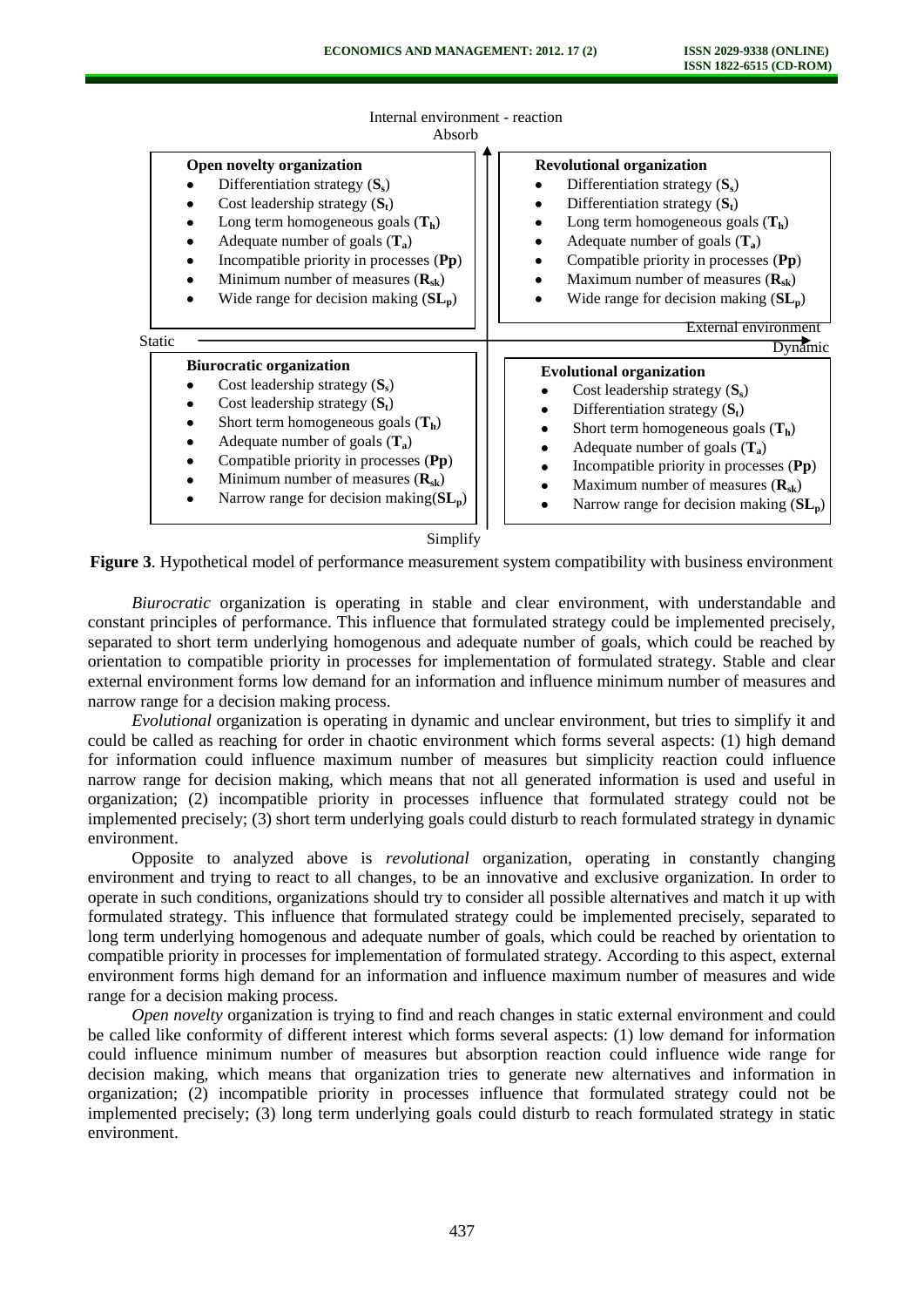

Internal environment - reaction Absorb

**Figure 3**. Hypothetical model of performance measurement system compatibility with business environment

*Biurocratic* organization is operating in stable and clear environment, with understandable and constant principles of performance. This influence that formulated strategy could be implemented precisely, separated to short term underlying homogenous and adequate number of goals, which could be reached by orientation to compatible priority in processes for implementation of formulated strategy. Stable and clear external environment forms low demand for an information and influence minimum number of measures and narrow range for a decision making process.

*Evolutional* organization is operating in dynamic and unclear environment, but tries to simplify it and could be called as reaching for order in chaotic environment which forms several aspects: (1) high demand for information could influence maximum number of measures but simplicity reaction could influence narrow range for decision making, which means that not all generated information is used and useful in organization; (2) incompatible priority in processes influence that formulated strategy could not be implemented precisely; (3) short term underlying goals could disturb to reach formulated strategy in dynamic environment.

Opposite to analyzed above is *revolutional* organization, operating in constantly changing environment and trying to react to all changes, to be an innovative and exclusive organization. In order to operate in such conditions, organizations should try to consider all possible alternatives and match it up with formulated strategy. This influence that formulated strategy could be implemented precisely, separated to long term underlying homogenous and adequate number of goals, which could be reached by orientation to compatible priority in processes for implementation of formulated strategy. According to this aspect, external environment forms high demand for an information and influence maximum number of measures and wide range for a decision making process.

*Open novelty* organization is trying to find and reach changes in static external environment and could be called like conformity of different interest which forms several aspects: (1) low demand for information could influence minimum number of measures but absorption reaction could influence wide range for decision making, which means that organization tries to generate new alternatives and information in organization; (2) incompatible priority in processes influence that formulated strategy could not be implemented precisely; (3) long term underlying goals could disturb to reach formulated strategy in static environment.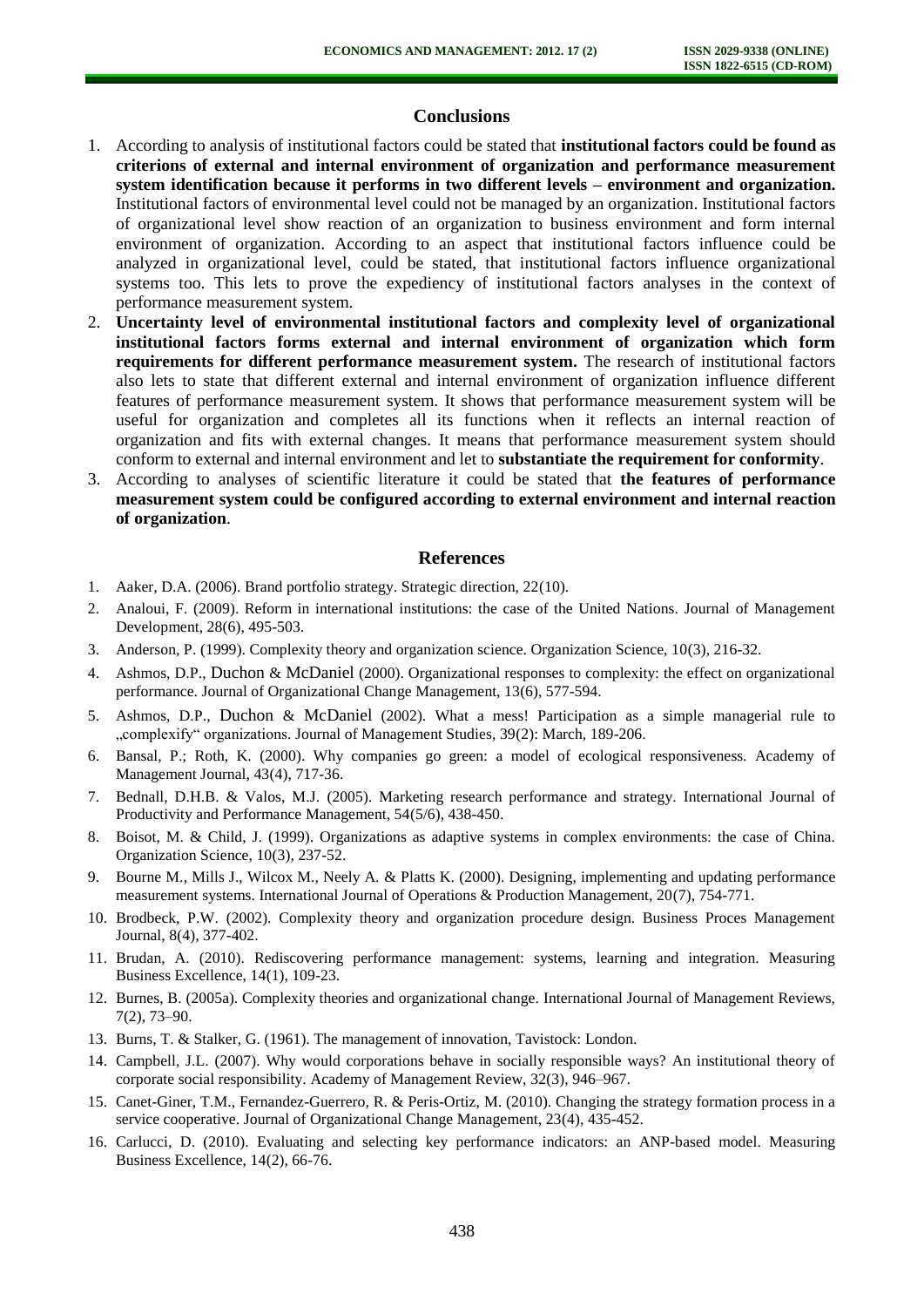# **Conclusions**

- 1. According to analysis of institutional factors could be stated that **institutional factors could be found as criterions of external and internal environment of organization and performance measurement system identification because it performs in two different levels – environment and organization.** Institutional factors of environmental level could not be managed by an organization. Institutional factors of organizational level show reaction of an organization to business environment and form internal environment of organization. According to an aspect that institutional factors influence could be analyzed in organizational level, could be stated, that institutional factors influence organizational systems too. This lets to prove the expediency of institutional factors analyses in the context of performance measurement system.
- 2. **Uncertainty level of environmental institutional factors and complexity level of organizational institutional factors forms external and internal environment of organization which form requirements for different performance measurement system.** The research of institutional factors also lets to state that different external and internal environment of organization influence different features of performance measurement system. It shows that performance measurement system will be useful for organization and completes all its functions when it reflects an internal reaction of organization and fits with external changes. It means that performance measurement system should conform to external and internal environment and let to **substantiate the requirement for conformity**.
- 3. According to analyses of scientific literature it could be stated that **the features of performance measurement system could be configured according to external environment and internal reaction of organization**.

#### **References**

- 1. Aaker, D.A. (2006). Brand portfolio strategy. Strategic direction, 22(10).
- 2. Analoui, F. (2009). Reform in international institutions: the case of the United Nations. Journal of Management Development, 28(6), 495-503.
- 3. Anderson, P. (1999). Complexity theory and organization science. Organization Science, 10(3), 216-32.
- 4. Ashmos, D.P., Duchon & McDaniel (2000). Organizational responses to complexity: the effect on organizational performance. Journal of Organizational Change Management, 13(6), 577-594.
- 5. Ashmos, D.P., Duchon & McDaniel (2002). What a mess! Participation as a simple managerial rule to "complexify" organizations. Journal of Management Studies, 39(2): March, 189-206.
- 6. Bansal, P.; Roth, K. (2000). Why companies go green: a model of ecological responsiveness. Academy of Management Journal, 43(4), 717-36.
- 7. Bednall, D.H.B. & Valos, M.J. (2005). Marketing research performance and strategy. International Journal of Productivity and Performance Management, 54(5/6), 438-450.
- 8. Boisot, M. & Child, J. (1999). Organizations as adaptive systems in complex environments: the case of China. Organization Science, 10(3), 237-52.
- 9. Bourne M., Mills J., Wilcox M., Neely A. & Platts K. (2000). Designing, implementing and updating performance measurement systems. International Journal of Operations & Production Management, 20(7), 754-771.
- 10. Brodbeck, P.W. (2002). Complexity theory and organization procedure design. Business Proces Management Journal, 8(4), 377-402.
- 11. Brudan, A. (2010). Rediscovering performance management: systems, learning and integration. Measuring Business Excellence, 14(1), 109-23.
- 12. Burnes, B. (2005a). Complexity theories and organizational change. International Journal of Management Reviews, 7(2), 73–90.
- 13. Burns, T. & Stalker, G. (1961). The management of innovation, Tavistock: London.
- 14. Campbell, J.L. (2007). Why would corporations behave in socially responsible ways? An institutional theory of corporate social responsibility. Academy of Management Review, 32(3), 946–967.
- 15. Canet-Giner, T.M., Fernandez-Guerrero, R. & Peris-Ortiz, M. (2010). Changing the strategy formation process in a service cooperative. Journal of Organizational Change Management, 23(4), 435-452.
- 16. Carlucci, D. (2010). Evaluating and selecting key performance indicators: an ANP-based model. Measuring Business Excellence, 14(2), 66-76.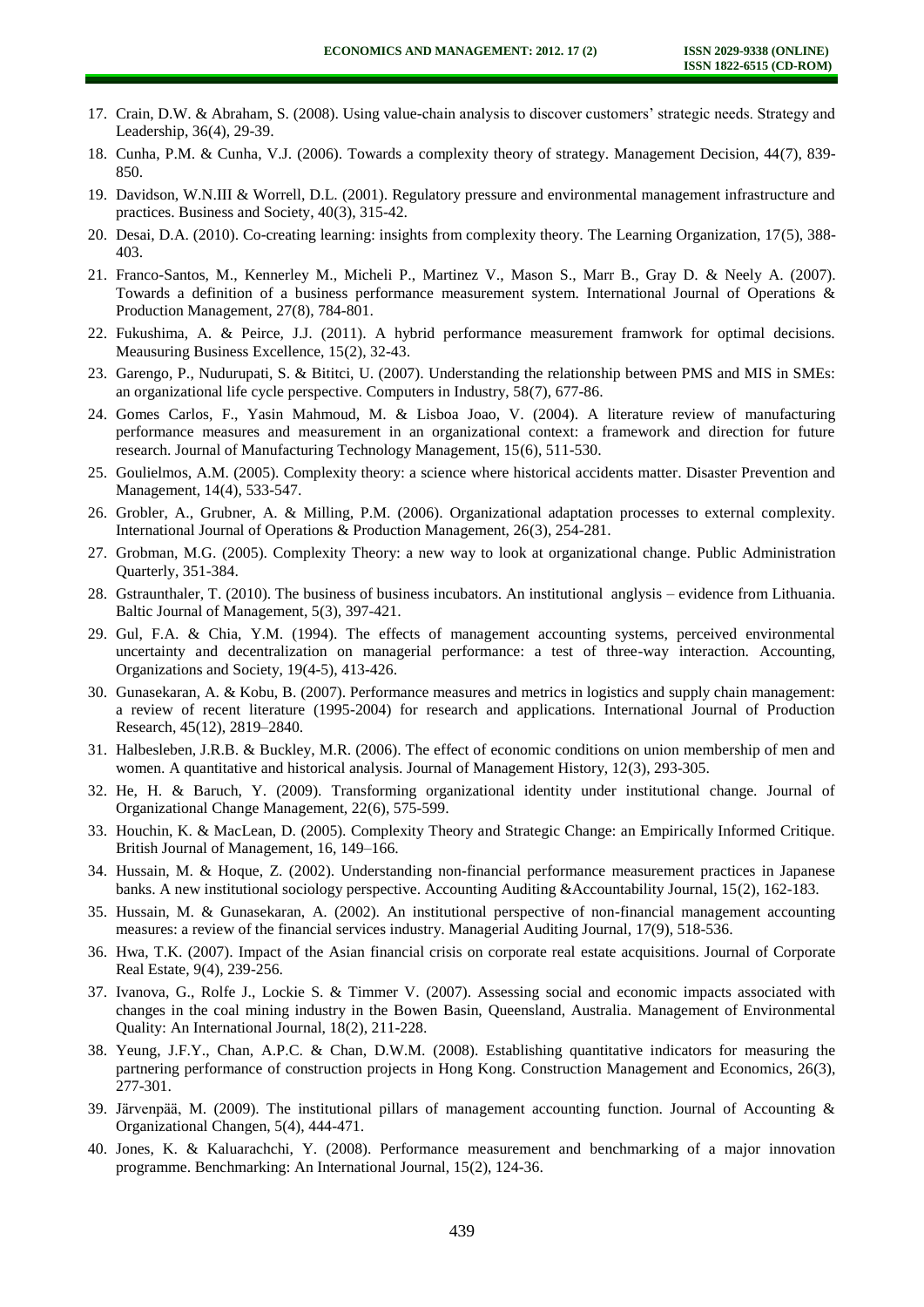- 17. Crain, D.W. & Abraham, S. (2008). Using value-chain analysis to discover customers' strategic needs. Strategy and Leadership, 36(4), 29-39.
- 18. Cunha, P.M. & Cunha, V.J. (2006). Towards a complexity theory of strategy. Management Decision, 44(7), 839- 850.
- 19. Davidson, W.N.III & Worrell, D.L. (2001). Regulatory pressure and environmental management infrastructure and practices. Business and Society, 40(3), 315-42.
- 20. Desai, D.A. (2010). Co-creating learning: insights from complexity theory. The Learning Organization, 17(5), 388- 403.
- 21. Franco-Santos, M., Kennerley M., Micheli P., Martinez V., Mason S., Marr B., Gray D. & Neely A. (2007). Towards a definition of a business performance measurement system. International Journal of Operations & Production Management, 27(8), 784-801.
- 22. Fukushima, A. & Peirce, J.J. (2011). A hybrid performance measurement framwork for optimal decisions. Meausuring Business Excellence, 15(2), 32-43.
- 23. Garengo, P., Nudurupati, S. & Bititci, U. (2007). Understanding the relationship between PMS and MIS in SMEs: an organizational life cycle perspective. Computers in Industry, 58(7), 677-86.
- 24. Gomes Carlos, F., Yasin Mahmoud, M. & Lisboa Joao, V. (2004). A literature review of manufacturing performance measures and measurement in an organizational context: a framework and direction for future research. Journal of Manufacturing Technology Management, 15(6), 511-530.
- 25. Goulielmos, A.M. (2005). Complexity theory: a science where historical accidents matter. Disaster Prevention and Management, 14(4), 533-547.
- 26. Grobler, A., Grubner, A. & Milling, P.M. (2006). Organizational adaptation processes to external complexity. International Journal of Operations & Production Management, 26(3), 254-281.
- 27. Grobman, M.G. (2005). Complexity Theory: a new way to look at organizational change. Public Administration Quarterly, 351-384.
- 28. Gstraunthaler, T. (2010). The business of business incubators. An institutional anglysis evidence from Lithuania. Baltic Journal of Management, 5(3), 397-421.
- 29. Gul, F.A. & Chia, Y.M. (1994). The effects of management accounting systems, perceived environmental uncertainty and decentralization on managerial performance: a test of three-way interaction. Accounting, Organizations and Society, 19(4-5), 413-426.
- 30. Gunasekaran, A. & Kobu, B. (2007). Performance measures and metrics in logistics and supply chain management: a review of recent literature (1995-2004) for research and applications. International Journal of Production Research, 45(12), 2819–2840.
- 31. Halbesleben, J.R.B. & Buckley, M.R. (2006). The effect of economic conditions on union membership of men and women. A quantitative and historical analysis. Journal of Management History, 12(3), 293-305.
- 32. He, H. & Baruch, Y. (2009). Transforming organizational identity under institutional change. Journal of Organizational Change Management, 22(6), 575-599.
- 33. Houchin, K. & MacLean, D. (2005). Complexity Theory and Strategic Change: an Empirically Informed Critique. British Journal of Management, 16, 149–166.
- 34. Hussain, M. & Hoque, Z. (2002). Understanding non-financial performance measurement practices in Japanese banks. A new institutional sociology perspective. Accounting Auditing &Accountability Journal, 15(2), 162-183.
- 35. Hussain, M. & Gunasekaran, A. (2002). An institutional perspective of non-financial management accounting measures: a review of the financial services industry. Managerial Auditing Journal, 17(9), 518-536.
- 36. Hwa, T.K. (2007). Impact of the Asian financial crisis on corporate real estate acquisitions. Journal of Corporate Real Estate, 9(4), 239-256.
- 37. Ivanova, G., Rolfe J., Lockie S. & Timmer V. (2007). Assessing social and economic impacts associated with changes in the coal mining industry in the Bowen Basin, Queensland, Australia. Management of Environmental Quality: An International Journal, 18(2), 211-228.
- 38. Yeung, J.F.Y., Chan, A.P.C. & Chan, D.W.M. (2008). Establishing quantitative indicators for measuring the partnering performance of construction projects in Hong Kong. Construction Management and Economics, 26(3), 277-301.
- 39. Järvenpää, M. (2009). The institutional pillars of management accounting function. Journal of Accounting & Organizational Changen, 5(4), 444-471.
- 40. Jones, K. & Kaluarachchi, Y. (2008). Performance measurement and benchmarking of a major innovation programme. Benchmarking: An International Journal, 15(2), 124-36.